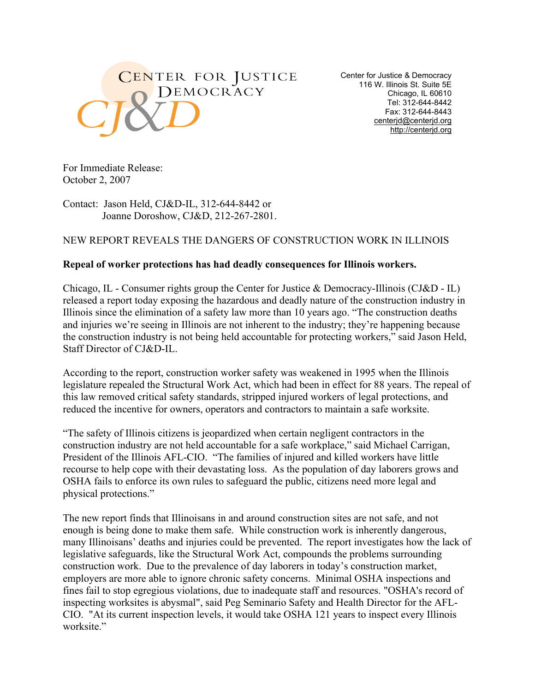

Center for Justice & Democracy 116 W. Illinois St. Suite 5E Chicago, IL 60610 Tel: 312-644-8442 Fax: 312-644-8443 centerjd@centerjd.org http://centerjd.org

For Immediate Release: October 2, 2007

Contact: Jason Held, CJ&D-IL, 312-644-8442 or Joanne Doroshow, CJ&D, 212-267-2801.

## NEW REPORT REVEALS THE DANGERS OF CONSTRUCTION WORK IN ILLINOIS

## **Repeal of worker protections has had deadly consequences for Illinois workers.**

Chicago, IL - Consumer rights group the Center for Justice & Democracy-Illinois (CJ&D - IL) released a report today exposing the hazardous and deadly nature of the construction industry in Illinois since the elimination of a safety law more than 10 years ago. "The construction deaths and injuries we're seeing in Illinois are not inherent to the industry; they're happening because the construction industry is not being held accountable for protecting workers," said Jason Held, Staff Director of CJ&D-IL.

According to the report, construction worker safety was weakened in 1995 when the Illinois legislature repealed the Structural Work Act, which had been in effect for 88 years. The repeal of this law removed critical safety standards, stripped injured workers of legal protections, and reduced the incentive for owners, operators and contractors to maintain a safe worksite.

"The safety of Illinois citizens is jeopardized when certain negligent contractors in the construction industry are not held accountable for a safe workplace," said Michael Carrigan, President of the Illinois AFL-CIO. "The families of injured and killed workers have little recourse to help cope with their devastating loss. As the population of day laborers grows and OSHA fails to enforce its own rules to safeguard the public, citizens need more legal and physical protections."

The new report finds that Illinoisans in and around construction sites are not safe, and not enough is being done to make them safe. While construction work is inherently dangerous, many Illinoisans' deaths and injuries could be prevented. The report investigates how the lack of legislative safeguards, like the Structural Work Act, compounds the problems surrounding construction work. Due to the prevalence of day laborers in today's construction market, employers are more able to ignore chronic safety concerns. Minimal OSHA inspections and fines fail to stop egregious violations, due to inadequate staff and resources. "OSHA's record of inspecting worksites is abysmal", said Peg Seminario Safety and Health Director for the AFL-CIO. "At its current inspection levels, it would take OSHA 121 years to inspect every Illinois worksite."